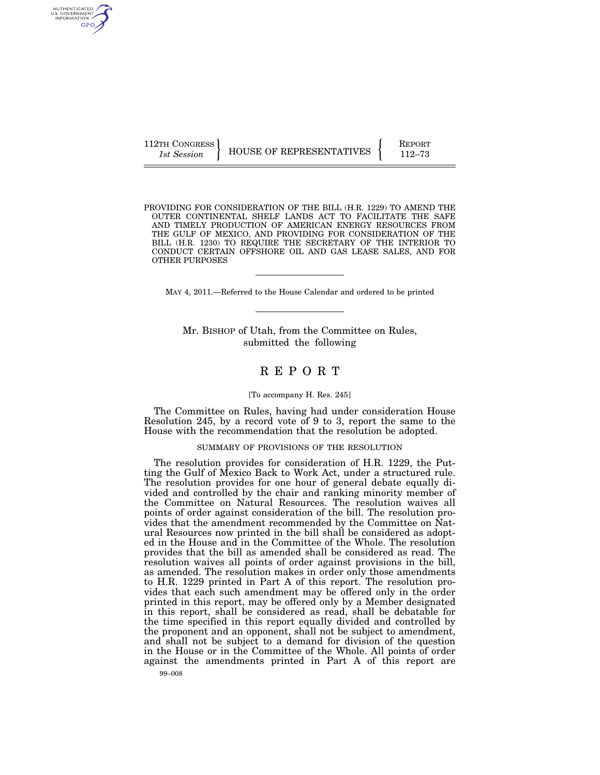112TH CONGRESS **REPORT 112TH CONGRESS** HOUSE OF REPRESENTATIVES **FACT** 112–73

AUTHENTICATED<br>U.S. GOVERNMENT<br>INFORMATION GPO

> PROVIDING FOR CONSIDERATION OF THE BILL (H.R. 1229) TO AMEND THE OUTER CONTINENTAL SHELF LANDS ACT TO FACILITATE THE SAFE AND TIMELY PRODUCTION OF AMERICAN ENERGY RESOURCES FROM THE GULF OF MEXICO, AND PROVIDING FOR CONSIDERATION OF THE BILL (H.R. 1230) TO REQUIRE THE SECRETARY OF THE INTERIOR TO CONDUCT CERTAIN OFFSHORE OIL AND GAS LEASE SALES, AND FOR OTHER PURPOSES

MAY 4, 2011.—Referred to the House Calendar and ordered to be printed

Mr. BISHOP of Utah, from the Committee on Rules, submitted the following

# R E P O R T

### [To accompany H. Res. 245]

The Committee on Rules, having had under consideration House Resolution 245, by a record vote of 9 to 3, report the same to the House with the recommendation that the resolution be adopted.

# SUMMARY OF PROVISIONS OF THE RESOLUTION

99–008 The resolution provides for consideration of H.R. 1229, the Putting the Gulf of Mexico Back to Work Act, under a structured rule. The resolution provides for one hour of general debate equally divided and controlled by the chair and ranking minority member of the Committee on Natural Resources. The resolution waives all points of order against consideration of the bill. The resolution provides that the amendment recommended by the Committee on Natural Resources now printed in the bill shall be considered as adopted in the House and in the Committee of the Whole. The resolution provides that the bill as amended shall be considered as read. The resolution waives all points of order against provisions in the bill, as amended. The resolution makes in order only those amendments to H.R. 1229 printed in Part A of this report. The resolution provides that each such amendment may be offered only in the order printed in this report, may be offered only by a Member designated in this report, shall be considered as read, shall be debatable for the time specified in this report equally divided and controlled by the proponent and an opponent, shall not be subject to amendment, and shall not be subject to a demand for division of the question in the House or in the Committee of the Whole. All points of order against the amendments printed in Part A of this report are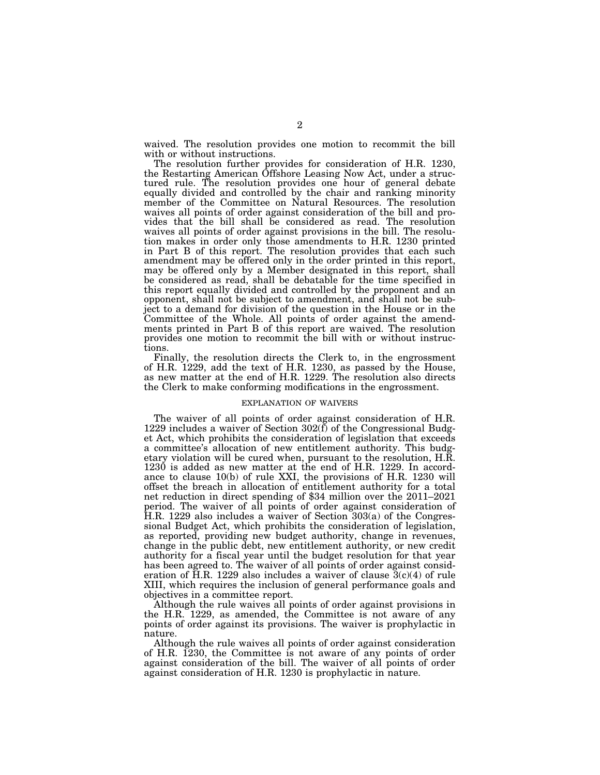waived. The resolution provides one motion to recommit the bill with or without instructions.

The resolution further provides for consideration of H.R. 1230, the Restarting American Offshore Leasing Now Act, under a structured rule. The resolution provides one hour of general debate equally divided and controlled by the chair and ranking minority member of the Committee on Natural Resources. The resolution waives all points of order against consideration of the bill and provides that the bill shall be considered as read. The resolution waives all points of order against provisions in the bill. The resolution makes in order only those amendments to H.R. 1230 printed in Part B of this report. The resolution provides that each such amendment may be offered only in the order printed in this report, may be offered only by a Member designated in this report, shall be considered as read, shall be debatable for the time specified in this report equally divided and controlled by the proponent and an opponent, shall not be subject to amendment, and shall not be subject to a demand for division of the question in the House or in the Committee of the Whole. All points of order against the amendments printed in Part B of this report are waived. The resolution provides one motion to recommit the bill with or without instructions.

Finally, the resolution directs the Clerk to, in the engrossment of H.R. 1229, add the text of H.R. 1230, as passed by the House, as new matter at the end of H.R. 1229. The resolution also directs the Clerk to make conforming modifications in the engrossment.

#### EXPLANATION OF WAIVERS

The waiver of all points of order against consideration of H.R. 1229 includes a waiver of Section  $302(f)$  of the Congressional Budget Act, which prohibits the consideration of legislation that exceeds a committee's allocation of new entitlement authority. This budgetary violation will be cured when, pursuant to the resolution, H.R. 1230 is added as new matter at the end of H.R. 1229. In accordance to clause 10(b) of rule XXI, the provisions of H.R. 1230 will offset the breach in allocation of entitlement authority for a total net reduction in direct spending of \$34 million over the 2011–2021 period. The waiver of all points of order against consideration of H.R. 1229 also includes a waiver of Section 303(a) of the Congressional Budget Act, which prohibits the consideration of legislation, as reported, providing new budget authority, change in revenues, change in the public debt, new entitlement authority, or new credit authority for a fiscal year until the budget resolution for that year has been agreed to. The waiver of all points of order against consideration of H.R. 1229 also includes a waiver of clause  $3(c)(4)$  of rule XIII, which requires the inclusion of general performance goals and objectives in a committee report.

Although the rule waives all points of order against provisions in the H.R. 1229, as amended, the Committee is not aware of any points of order against its provisions. The waiver is prophylactic in nature.

Although the rule waives all points of order against consideration of H.R. 1230, the Committee is not aware of any points of order against consideration of the bill. The waiver of all points of order against consideration of H.R. 1230 is prophylactic in nature.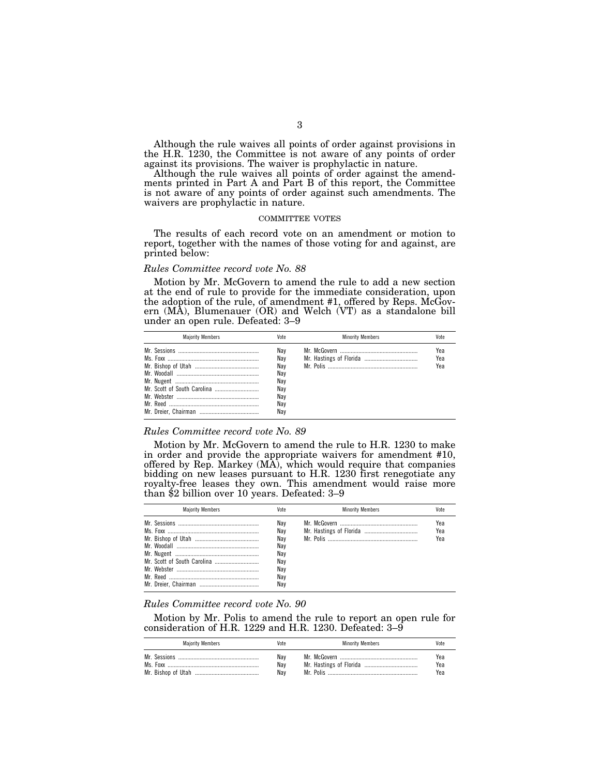Although the rule waives all points of order against provisions in the H.R. 1230, the Committee is not aware of any points of order against its provisions. The waiver is prophylactic in nature.

Although the rule waives all points of order against the amendments printed in Part A and Part B of this report, the Committee is not aware of any points of order against such amendments. The waivers are prophylactic in nature.

#### COMMITTEE VOTES

The results of each record vote on an amendment or motion to report, together with the names of those voting for and against, are printed below:

### *Rules Committee record vote No. 88*

Motion by Mr. McGovern to amend the rule to add a new section at the end of rule to provide for the immediate consideration, upon the adoption of the rule, of amendment #1, offered by Reps. McGovern (MA), Blumenauer (OR) and Welch (VT) as a standalone bill under an open rule. Defeated: 3–9

| <b>Maiority Members</b> | Vote                                          | <b>Minority Members</b> | Vote              |
|-------------------------|-----------------------------------------------|-------------------------|-------------------|
|                         | Nav<br>Nav<br>Nav<br>Nav<br>Nav<br>Nav<br>Nav |                         | Yea<br>Yea<br>Yea |
|                         | Nay<br>Nav                                    |                         |                   |

### *Rules Committee record vote No. 89*

Motion by Mr. McGovern to amend the rule to H.R. 1230 to make in order and provide the appropriate waivers for amendment #10, offered by Rep. Markey (MA), which would require that companies bidding on new leases pursuant to H.R. 1230 first renegotiate any royalty-free leases they own. This amendment would raise more than \$2 billion over 10 years. Defeated: 3–9

| <b>Maiority Members</b> | Vote                                                        | <b>Minority Members</b> | Vote              |
|-------------------------|-------------------------------------------------------------|-------------------------|-------------------|
|                         | Nav<br>Nav<br>Nav<br>Nay<br>Nav<br>Nav<br>Nav<br>Nav<br>Nav |                         | Yea<br>Yea<br>Yea |

#### *Rules Committee record vote No. 90*

Motion by Mr. Polis to amend the rule to report an open rule for consideration of H.R. 1229 and H.R. 1230. Defeated: 3–9

| <b>Majority Members</b> | Vote | <b>Minority Members</b> | Vote |
|-------------------------|------|-------------------------|------|
|                         | Nav  |                         | Yea  |
|                         | Nav  |                         | Yea  |
|                         | Nav  |                         | Yea  |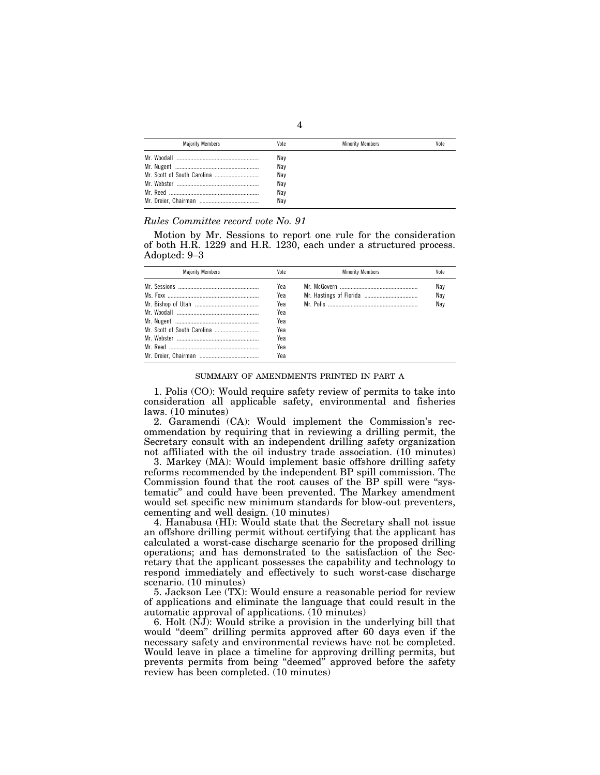| <b>Maiority Members</b> | Vote | <b>Minority Members</b> | Vote |
|-------------------------|------|-------------------------|------|
|                         | Nay  |                         |      |
|                         | Nay  |                         |      |
|                         | Nay  |                         |      |
|                         | Nay  |                         |      |
|                         | Nay  |                         |      |
|                         | Nav  |                         |      |

### *Rules Committee record vote No. 91*

Motion by Mr. Sessions to report one rule for the consideration of both H.R. 1229 and H.R. 1230, each under a structured process. Adopted: 9–3

| <b>Maiority Members</b> | Vote | <b>Minority Members</b> | Vote |
|-------------------------|------|-------------------------|------|
|                         | Yea  |                         | Nav  |
|                         | Yea  |                         | Nay  |
|                         | Yea  |                         | Nav  |
|                         | Yea  |                         |      |
|                         | Yea  |                         |      |
|                         | Yea  |                         |      |
|                         | Yea  |                         |      |
|                         | Yea  |                         |      |
|                         | Yea  |                         |      |

#### SUMMARY OF AMENDMENTS PRINTED IN PART A

1. Polis (CO): Would require safety review of permits to take into consideration all applicable safety, environmental and fisheries laws. (10 minutes)

2. Garamendi (CA): Would implement the Commission's recommendation by requiring that in reviewing a drilling permit, the Secretary consult with an independent drilling safety organization not affiliated with the oil industry trade association.  $(10 \text{ minutes})$ 

3. Markey (MA): Would implement basic offshore drilling safety reforms recommended by the independent BP spill commission. The Commission found that the root causes of the BP spill were ''systematic'' and could have been prevented. The Markey amendment would set specific new minimum standards for blow-out preventers, cementing and well design. (10 minutes)

4. Hanabusa (HI): Would state that the Secretary shall not issue an offshore drilling permit without certifying that the applicant has calculated a worst-case discharge scenario for the proposed drilling operations; and has demonstrated to the satisfaction of the Secretary that the applicant possesses the capability and technology to respond immediately and effectively to such worst-case discharge scenario. (10 minutes)

5. Jackson Lee (TX): Would ensure a reasonable period for review of applications and eliminate the language that could result in the automatic approval of applications. (10 minutes)

6. Holt (NJ): Would strike a provision in the underlying bill that would "deem" drilling permits approved after 60 days even if the necessary safety and environmental reviews have not be completed. Would leave in place a timeline for approving drilling permits, but prevents permits from being "deemed" approved before the safety review has been completed. (10 minutes)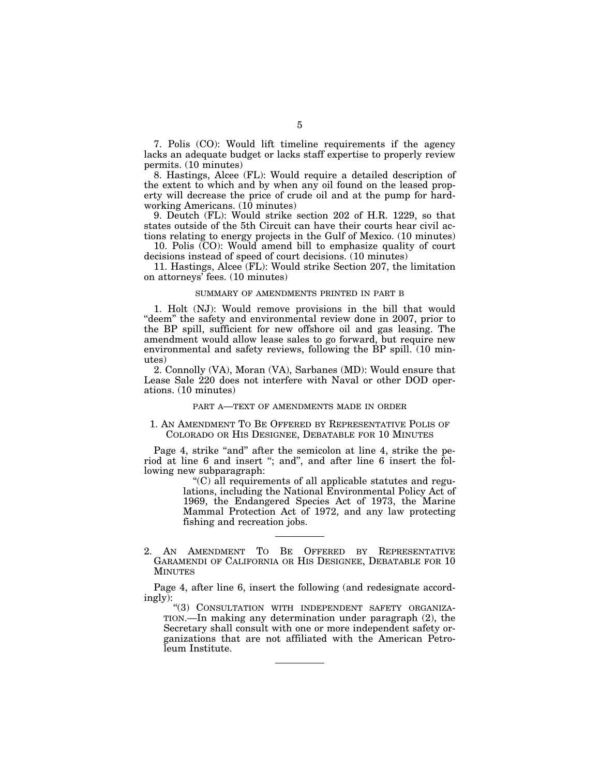7. Polis (CO): Would lift timeline requirements if the agency lacks an adequate budget or lacks staff expertise to properly review permits. (10 minutes)

8. Hastings, Alcee (FL): Would require a detailed description of the extent to which and by when any oil found on the leased property will decrease the price of crude oil and at the pump for hardworking Americans. (10 minutes)

9. Deutch (FL): Would strike section 202 of H.R. 1229, so that states outside of the 5th Circuit can have their courts hear civil actions relating to energy projects in the Gulf of Mexico. (10 minutes)

10. Polis (CO): Would amend bill to emphasize quality of court decisions instead of speed of court decisions. (10 minutes)

11. Hastings, Alcee (FL): Would strike Section 207, the limitation on attorneys' fees. (10 minutes)

#### SUMMARY OF AMENDMENTS PRINTED IN PART B

1. Holt (NJ): Would remove provisions in the bill that would "deem" the safety and environmental review done in 2007, prior to the BP spill, sufficient for new offshore oil and gas leasing. The amendment would allow lease sales to go forward, but require new environmental and safety reviews, following the BP spill. (10 minutes)

2. Connolly (VA), Moran (VA), Sarbanes (MD): Would ensure that Lease Sale 220 does not interfere with Naval or other DOD operations. (10 minutes)

### PART A—TEXT OF AMENDMENTS MADE IN ORDER

# 1. AN AMENDMENT TO BE OFFERED BY REPRESENTATIVE POLIS OF COLORADO OR HIS DESIGNEE, DEBATABLE FOR 10 MINUTES

Page 4, strike "and" after the semicolon at line 4, strike the period at line 6 and insert ''; and'', and after line 6 insert the following new subparagraph:

> ''(C) all requirements of all applicable statutes and regulations, including the National Environmental Policy Act of 1969, the Endangered Species Act of 1973, the Marine Mammal Protection Act of 1972, and any law protecting fishing and recreation jobs.

2. AN AMENDMENT TO BE OFFERED BY REPRESENTATIVE GARAMENDI OF CALIFORNIA OR HIS DESIGNEE, DEBATABLE FOR 10 MINUTES

Page 4, after line 6, insert the following (and redesignate accordingly):

"(3) CONSULTATION WITH INDEPENDENT SAFETY ORGANIZA-TION.—In making any determination under paragraph (2), the Secretary shall consult with one or more independent safety organizations that are not affiliated with the American Petroleum Institute.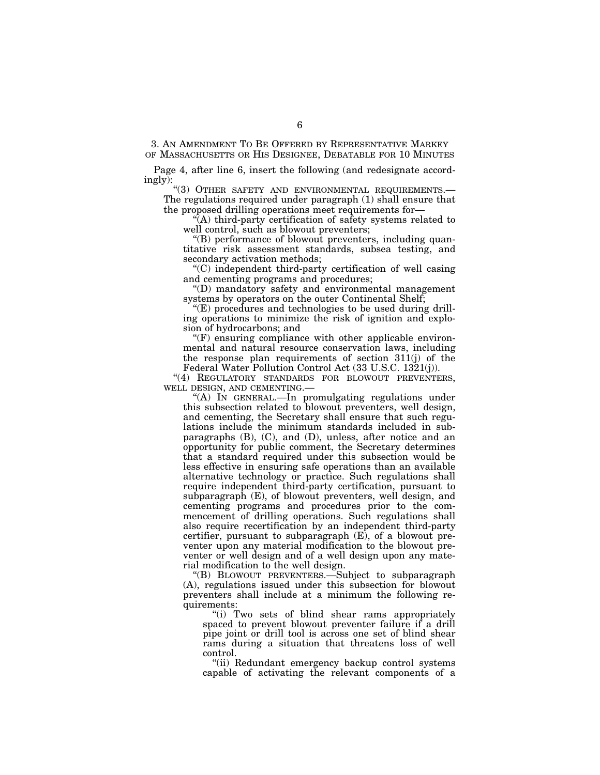3. AN AMENDMENT TO BE OFFERED BY REPRESENTATIVE MARKEY OF MASSACHUSETTS OR HIS DESIGNEE, DEBATABLE FOR 10 MINUTES

Page 4, after line 6, insert the following (and redesignate accordingly):

''(3) OTHER SAFETY AND ENVIRONMENTAL REQUIREMENTS.— The regulations required under paragraph (1) shall ensure that the proposed drilling operations meet requirements for—

 $\hat{A}$ ) third-party certification of safety systems related to well control, such as blowout preventers;

''(B) performance of blowout preventers, including quantitative risk assessment standards, subsea testing, and secondary activation methods;

''(C) independent third-party certification of well casing and cementing programs and procedures;

''(D) mandatory safety and environmental management systems by operators on the outer Continental Shelf;

 $E$ ) procedures and technologies to be used during drilling operations to minimize the risk of ignition and explosion of hydrocarbons; and

 $\mathcal{C}(F)$  ensuring compliance with other applicable environmental and natural resource conservation laws, including the response plan requirements of section 311(j) of the Federal Water Pollution Control Act (33 U.S.C. 1321(j)).

"(4) REGULATORY STANDARDS FOR BLOWOUT PREVENTERS, WELL DESIGN, AND CEMENTING.—

''(A) IN GENERAL.—In promulgating regulations under this subsection related to blowout preventers, well design, and cementing, the Secretary shall ensure that such regulations include the minimum standards included in subparagraphs (B), (C), and (D), unless, after notice and an opportunity for public comment, the Secretary determines that a standard required under this subsection would be less effective in ensuring safe operations than an available alternative technology or practice. Such regulations shall require independent third-party certification, pursuant to subparagraph (E), of blowout preventers, well design, and cementing programs and procedures prior to the commencement of drilling operations. Such regulations shall also require recertification by an independent third-party certifier, pursuant to subparagraph (E), of a blowout preventer upon any material modification to the blowout preventer or well design and of a well design upon any material modification to the well design.

''(B) BLOWOUT PREVENTERS.—Subject to subparagraph (A), regulations issued under this subsection for blowout preventers shall include at a minimum the following requirements:

''(i) Two sets of blind shear rams appropriately spaced to prevent blowout preventer failure if a drill pipe joint or drill tool is across one set of blind shear rams during a situation that threatens loss of well control.

''(ii) Redundant emergency backup control systems capable of activating the relevant components of a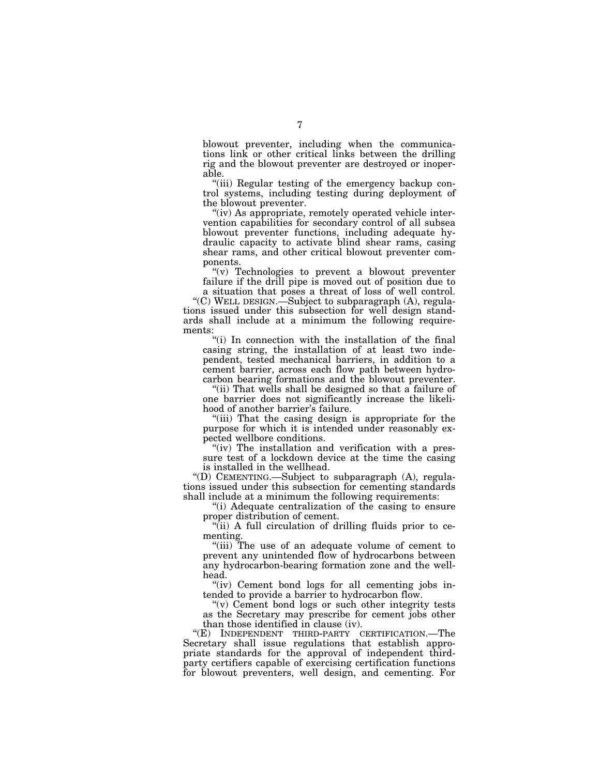blowout preventer, including when the communications link or other critical links between the drilling rig and the blowout preventer are destroyed or inoperable.

''(iii) Regular testing of the emergency backup control systems, including testing during deployment of the blowout preventer.

"(iv) As appropriate, remotely operated vehicle intervention capabilities for secondary control of all subsea blowout preventer functions, including adequate hydraulic capacity to activate blind shear rams, casing shear rams, and other critical blowout preventer components.

"(v) Technologies to prevent a blowout preventer failure if the drill pipe is moved out of position due to a situation that poses a threat of loss of well control.

''(C) WELL DESIGN.—Subject to subparagraph (A), regulations issued under this subsection for well design standards shall include at a minimum the following requirements:

"(i) In connection with the installation of the final casing string, the installation of at least two independent, tested mechanical barriers, in addition to a cement barrier, across each flow path between hydrocarbon bearing formations and the blowout preventer.

"(ii) That wells shall be designed so that a failure of one barrier does not significantly increase the likelihood of another barrier's failure.

"(iii) That the casing design is appropriate for the purpose for which it is intended under reasonably expected wellbore conditions.

"(iv) The installation and verification with a pressure test of a lockdown device at the time the casing is installed in the wellhead.

''(D) CEMENTING.—Subject to subparagraph (A), regulations issued under this subsection for cementing standards shall include at a minimum the following requirements:

''(i) Adequate centralization of the casing to ensure proper distribution of cement.

"(ii) A full circulation of drilling fluids prior to cementing.

''(iii) The use of an adequate volume of cement to prevent any unintended flow of hydrocarbons between any hydrocarbon-bearing formation zone and the wellhead.

"(iv) Cement bond logs for all cementing jobs intended to provide a barrier to hydrocarbon flow.

" $(v)$  Cement bond logs or such other integrity tests as the Secretary may prescribe for cement jobs other than those identified in clause (iv).

"(E) INDEPENDENT THIRD-PARTY CERTIFICATION.—The Secretary shall issue regulations that establish appropriate standards for the approval of independent thirdparty certifiers capable of exercising certification functions for blowout preventers, well design, and cementing. For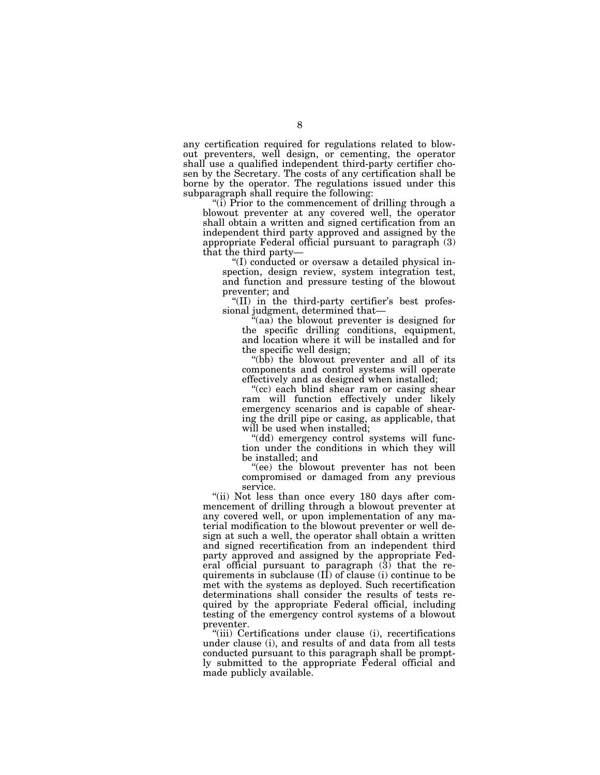any certification required for regulations related to blowout preventers, well design, or cementing, the operator shall use a qualified independent third-party certifier chosen by the Secretary. The costs of any certification shall be borne by the operator. The regulations issued under this subparagraph shall require the following:

"(i) Prior to the commencement of drilling through a blowout preventer at any covered well, the operator shall obtain a written and signed certification from an independent third party approved and assigned by the appropriate Federal official pursuant to paragraph (3) that the third party—

''(I) conducted or oversaw a detailed physical inspection, design review, system integration test, and function and pressure testing of the blowout preventer; and

"(II) in the third-party certifier's best professional judgment, determined that—

 $(aa)$  the blowout preventer is designed for the specific drilling conditions, equipment, and location where it will be installed and for the specific well design;

"(bb) the blowout preventer and all of its components and control systems will operate effectively and as designed when installed;

"(cc) each blind shear ram or casing shear ram will function effectively under likely emergency scenarios and is capable of shearing the drill pipe or casing, as applicable, that will be used when installed;

''(dd) emergency control systems will function under the conditions in which they will be installed; and

''(ee) the blowout preventer has not been compromised or damaged from any previous service.

"(ii) Not less than once every 180 days after commencement of drilling through a blowout preventer at any covered well, or upon implementation of any material modification to the blowout preventer or well design at such a well, the operator shall obtain a written and signed recertification from an independent third party approved and assigned by the appropriate Federal official pursuant to paragraph (3) that the requirements in subclause  $(I\dot{I})$  of clause (i) continue to be met with the systems as deployed. Such recertification determinations shall consider the results of tests required by the appropriate Federal official, including testing of the emergency control systems of a blowout preventer.

''(iii) Certifications under clause (i), recertifications under clause (i), and results of and data from all tests conducted pursuant to this paragraph shall be promptly submitted to the appropriate Federal official and made publicly available.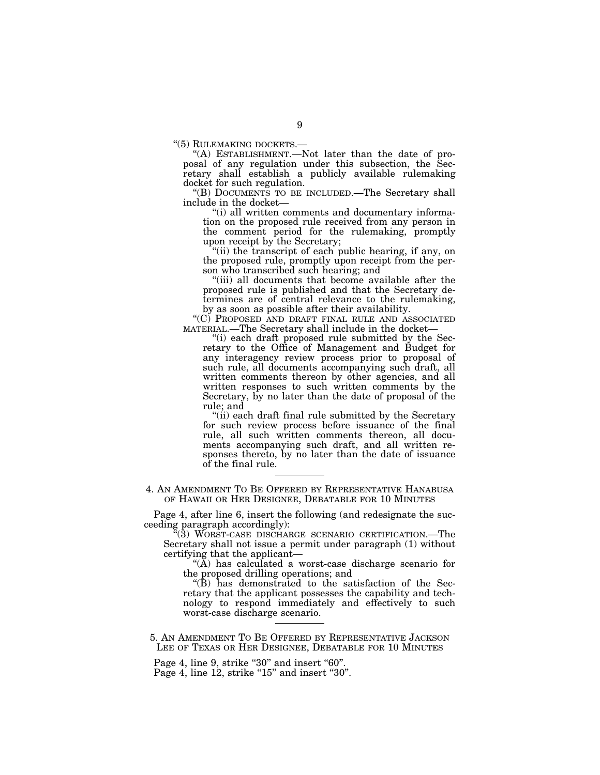''(5) RULEMAKING DOCKETS.— ''(A) ESTABLISHMENT.—Not later than the date of proposal of any regulation under this subsection, the Secretary shall establish a publicly available rulemaking docket for such regulation.

"(B) DOCUMENTS TO BE INCLUDED.—The Secretary shall include in the docket—

''(i) all written comments and documentary information on the proposed rule received from any person in the comment period for the rulemaking, promptly upon receipt by the Secretary;

''(ii) the transcript of each public hearing, if any, on the proposed rule, promptly upon receipt from the person who transcribed such hearing; and

''(iii) all documents that become available after the proposed rule is published and that the Secretary determines are of central relevance to the rulemaking, by as soon as possible after their availability.

''(C) PROPOSED AND DRAFT FINAL RULE AND ASSOCIATED MATERIAL.—The Secretary shall include in the docket—

''(i) each draft proposed rule submitted by the Secretary to the Office of Management and Budget for any interagency review process prior to proposal of such rule, all documents accompanying such draft, all written comments thereon by other agencies, and all written responses to such written comments by the Secretary, by no later than the date of proposal of the rule; and

"(ii) each draft final rule submitted by the Secretary for such review process before issuance of the final rule, all such written comments thereon, all documents accompanying such draft, and all written responses thereto, by no later than the date of issuance of the final rule.

4. AN AMENDMENT TO BE OFFERED BY REPRESENTATIVE HANABUSA OF HAWAII OR HER DESIGNEE, DEBATABLE FOR 10 MINUTES

Page 4, after line 6, insert the following (and redesignate the succeeding paragraph accordingly):

''(3) WORST-CASE DISCHARGE SCENARIO CERTIFICATION.—The Secretary shall not issue a permit under paragraph (1) without certifying that the applicant—

" $(\overline{A})$  has calculated a worst-case discharge scenario for the proposed drilling operations; and

''(B) has demonstrated to the satisfaction of the Secretary that the applicant possesses the capability and technology to respond immediately and effectively to such worst-case discharge scenario.

5. AN AMENDMENT TO BE OFFERED BY REPRESENTATIVE JACKSON LEE OF TEXAS OR HER DESIGNEE, DEBATABLE FOR 10 MINUTES

Page 4, line 9, strike "30" and insert "60".

Page  $4$ , line  $12$ , strike " $15$ " and insert " $30$ ".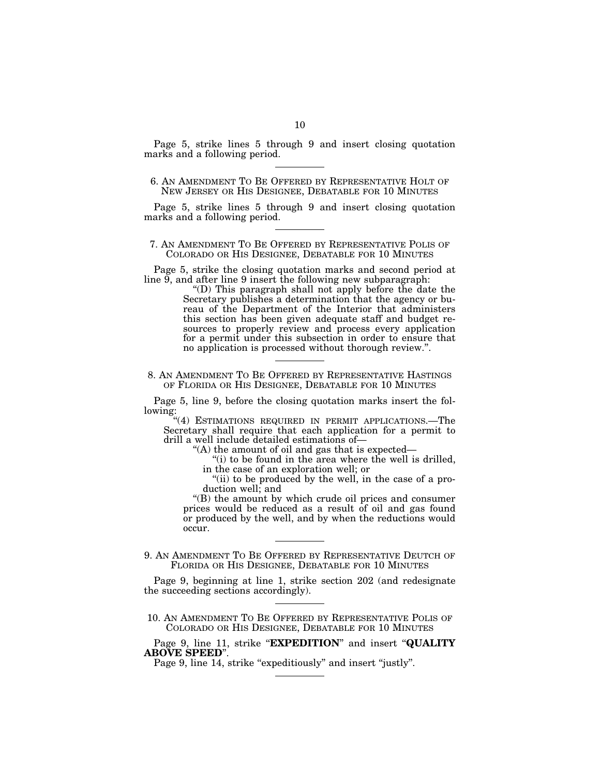Page 5, strike lines 5 through 9 and insert closing quotation marks and a following period.

# 6. AN AMENDMENT TO BE OFFERED BY REPRESENTATIVE HOLT OF NEW JERSEY OR HIS DESIGNEE, DEBATABLE FOR 10 MINUTES

Page 5, strike lines 5 through 9 and insert closing quotation marks and a following period.

### 7. AN AMENDMENT TO BE OFFERED BY REPRESENTATIVE POLIS OF COLORADO OR HIS DESIGNEE, DEBATABLE FOR 10 MINUTES

Page 5, strike the closing quotation marks and second period at line  $\overline{9}$ , and after line 9 insert the following new subparagraph:

''(D) This paragraph shall not apply before the date the Secretary publishes a determination that the agency or bureau of the Department of the Interior that administers this section has been given adequate staff and budget resources to properly review and process every application for a permit under this subsection in order to ensure that no application is processed without thorough review.''.

#### 8. AN AMENDMENT TO BE OFFERED BY REPRESENTATIVE HASTINGS OF FLORIDA OR HIS DESIGNEE, DEBATABLE FOR 10 MINUTES

Page 5, line 9, before the closing quotation marks insert the following:

"(4) ESTIMATIONS REQUIRED IN PERMIT APPLICATIONS.—The Secretary shall require that each application for a permit to drill a well include detailed estimations of—

''(A) the amount of oil and gas that is expected—

"(i) to be found in the area where the well is drilled,

in the case of an exploration well; or

"(ii) to be produced by the well, in the case of a production well; and

''(B) the amount by which crude oil prices and consumer prices would be reduced as a result of oil and gas found or produced by the well, and by when the reductions would occur.

9. AN AMENDMENT TO BE OFFERED BY REPRESENTATIVE DEUTCH OF FLORIDA OR HIS DESIGNEE, DEBATABLE FOR 10 MINUTES

Page 9, beginning at line 1, strike section 202 (and redesignate the succeeding sections accordingly).

10. AN AMENDMENT TO BE OFFERED BY REPRESENTATIVE POLIS OF COLORADO OR HIS DESIGNEE, DEBATABLE FOR 10 MINUTES

Page 9, line 14, strike "expeditiously" and insert "justly".

Page 9, line 11, strike "**EXPEDITION**" and insert "**QUALITY ABOVE SPEED**''.